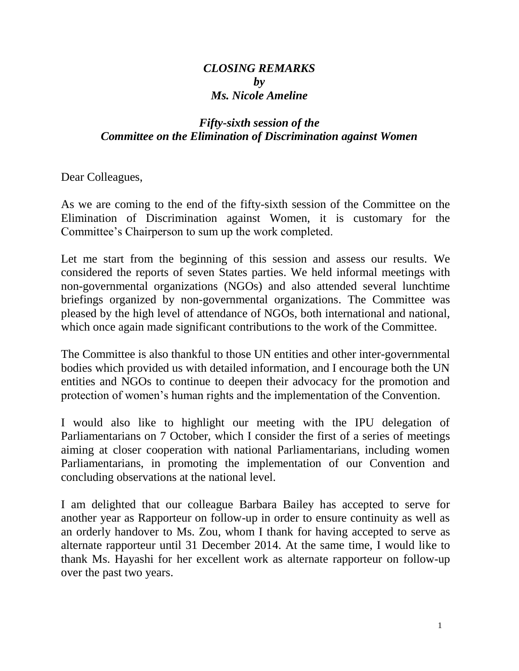## *CLOSING REMARKS by Ms. Nicole Ameline*

## *Fifty-sixth session of the Committee on the Elimination of Discrimination against Women*

Dear Colleagues,

As we are coming to the end of the fifty-sixth session of the Committee on the Elimination of Discrimination against Women, it is customary for the Committee's Chairperson to sum up the work completed.

Let me start from the beginning of this session and assess our results. We considered the reports of seven States parties. We held informal meetings with non-governmental organizations (NGOs) and also attended several lunchtime briefings organized by non-governmental organizations. The Committee was pleased by the high level of attendance of NGOs, both international and national, which once again made significant contributions to the work of the Committee.

The Committee is also thankful to those UN entities and other inter-governmental bodies which provided us with detailed information, and I encourage both the UN entities and NGOs to continue to deepen their advocacy for the promotion and protection of women's human rights and the implementation of the Convention.

I would also like to highlight our meeting with the IPU delegation of Parliamentarians on 7 October, which I consider the first of a series of meetings aiming at closer cooperation with national Parliamentarians, including women Parliamentarians, in promoting the implementation of our Convention and concluding observations at the national level.

I am delighted that our colleague Barbara Bailey has accepted to serve for another year as Rapporteur on follow-up in order to ensure continuity as well as an orderly handover to Ms. Zou, whom I thank for having accepted to serve as alternate rapporteur until 31 December 2014. At the same time, I would like to thank Ms. Hayashi for her excellent work as alternate rapporteur on follow-up over the past two years.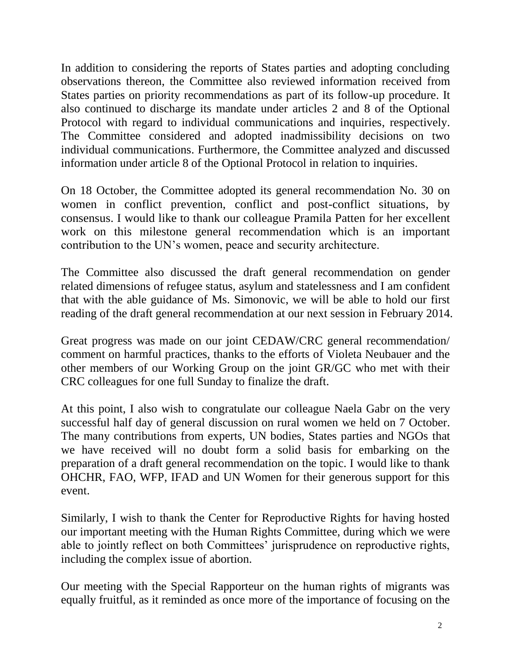In addition to considering the reports of States parties and adopting concluding observations thereon, the Committee also reviewed information received from States parties on priority recommendations as part of its follow-up procedure. It also continued to discharge its mandate under articles 2 and 8 of the Optional Protocol with regard to individual communications and inquiries, respectively. The Committee considered and adopted inadmissibility decisions on two individual communications. Furthermore, the Committee analyzed and discussed information under article 8 of the Optional Protocol in relation to inquiries.

On 18 October, the Committee adopted its general recommendation No. 30 on women in conflict prevention, conflict and post-conflict situations, by consensus. I would like to thank our colleague Pramila Patten for her excellent work on this milestone general recommendation which is an important contribution to the UN's women, peace and security architecture.

The Committee also discussed the draft general recommendation on gender related dimensions of refugee status, asylum and statelessness and I am confident that with the able guidance of Ms. Simonovic, we will be able to hold our first reading of the draft general recommendation at our next session in February 2014.

Great progress was made on our joint CEDAW/CRC general recommendation/ comment on harmful practices, thanks to the efforts of Violeta Neubauer and the other members of our Working Group on the joint GR/GC who met with their CRC colleagues for one full Sunday to finalize the draft.

At this point, I also wish to congratulate our colleague Naela Gabr on the very successful half day of general discussion on rural women we held on 7 October. The many contributions from experts, UN bodies, States parties and NGOs that we have received will no doubt form a solid basis for embarking on the preparation of a draft general recommendation on the topic. I would like to thank OHCHR, FAO, WFP, IFAD and UN Women for their generous support for this event.

Similarly, I wish to thank the Center for Reproductive Rights for having hosted our important meeting with the Human Rights Committee, during which we were able to jointly reflect on both Committees' jurisprudence on reproductive rights, including the complex issue of abortion.

Our meeting with the Special Rapporteur on the human rights of migrants was equally fruitful, as it reminded as once more of the importance of focusing on the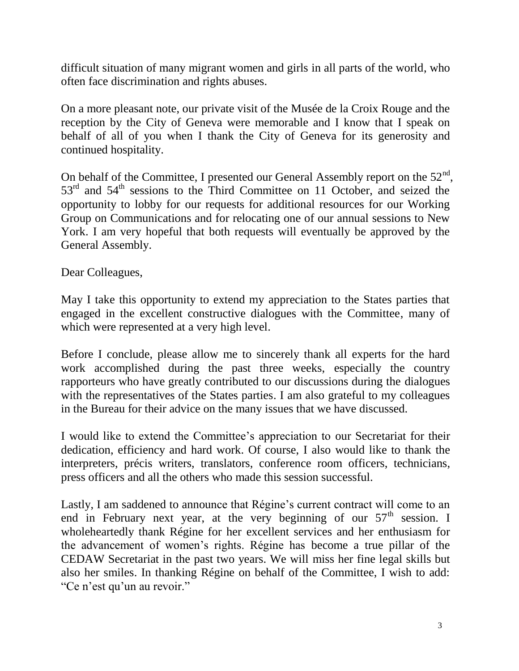difficult situation of many migrant women and girls in all parts of the world, who often face discrimination and rights abuses.

On a more pleasant note, our private visit of the Musée de la Croix Rouge and the reception by the City of Geneva were memorable and I know that I speak on behalf of all of you when I thank the City of Geneva for its generosity and continued hospitality.

On behalf of the Committee, I presented our General Assembly report on the  $52<sup>nd</sup>$ ,  $53<sup>rd</sup>$  and  $54<sup>th</sup>$  sessions to the Third Committee on 11 October, and seized the opportunity to lobby for our requests for additional resources for our Working Group on Communications and for relocating one of our annual sessions to New York. I am very hopeful that both requests will eventually be approved by the General Assembly.

Dear Colleagues,

May I take this opportunity to extend my appreciation to the States parties that engaged in the excellent constructive dialogues with the Committee, many of which were represented at a very high level.

Before I conclude, please allow me to sincerely thank all experts for the hard work accomplished during the past three weeks, especially the country rapporteurs who have greatly contributed to our discussions during the dialogues with the representatives of the States parties. I am also grateful to my colleagues in the Bureau for their advice on the many issues that we have discussed.

I would like to extend the Committee's appreciation to our Secretariat for their dedication, efficiency and hard work. Of course, I also would like to thank the interpreters, précis writers, translators, conference room officers, technicians, press officers and all the others who made this session successful.

Lastly, I am saddened to announce that Régine's current contract will come to an end in February next year, at the very beginning of our  $57<sup>th</sup>$  session. I wholeheartedly thank Régine for her excellent services and her enthusiasm for the advancement of women's rights. Régine has become a true pillar of the CEDAW Secretariat in the past two years. We will miss her fine legal skills but also her smiles. In thanking Régine on behalf of the Committee, I wish to add: "Ce n'est qu'un au revoir."